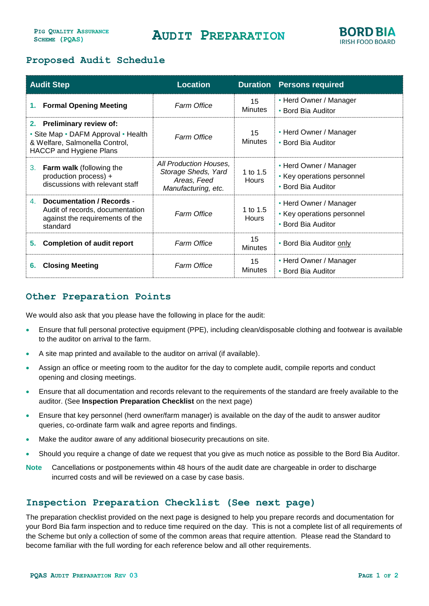## **AUDIT PREPARATION**



### **Proposed Audit Schedule**

| <b>Audit Step</b>                                                                                                                    |                                                                                                 | <b>Location</b>                                                                     |                          | <b>Duration Persons required</b>                                           |
|--------------------------------------------------------------------------------------------------------------------------------------|-------------------------------------------------------------------------------------------------|-------------------------------------------------------------------------------------|--------------------------|----------------------------------------------------------------------------|
| 1.                                                                                                                                   | <b>Formal Opening Meeting</b>                                                                   | <b>Farm Office</b>                                                                  | 15<br><b>Minutes</b>     | • Herd Owner / Manager<br>• Bord Bia Auditor                               |
| 2. Preliminary review of:<br>• Site Map • DAFM Approval • Health<br>& Welfare, Salmonella Control,<br><b>HACCP and Hygiene Plans</b> |                                                                                                 | <b>Farm Office</b>                                                                  | 15<br><b>Minutes</b>     | • Herd Owner / Manager<br>• Bord Bia Auditor                               |
| 3.                                                                                                                                   | <b>Farm walk</b> (following the<br>production process) +<br>discussions with relevant staff     | All Production Houses,<br>Storage Sheds, Yard<br>Areas, Feed<br>Manufacturing, etc. | 1 to 1.5<br><b>Hours</b> | • Herd Owner / Manager<br>• Key operations personnel<br>• Bord Bia Auditor |
| 4.<br>standard                                                                                                                       | Documentation / Records -<br>Audit of records, documentation<br>against the requirements of the | <b>Farm Office</b>                                                                  | 1 to 1.5<br><b>Hours</b> | • Herd Owner / Manager<br>• Key operations personnel<br>• Bord Bia Auditor |
| 5.                                                                                                                                   | <b>Completion of audit report</b>                                                               | <b>Farm Office</b>                                                                  | 15<br><b>Minutes</b>     | • Bord Bia Auditor only                                                    |
| 6.                                                                                                                                   | <b>Closing Meeting</b>                                                                          | <b>Farm Office</b>                                                                  | 15<br><b>Minutes</b>     | • Herd Owner / Manager<br>• Bord Bia Auditor                               |

## **Other Preparation Points**

We would also ask that you please have the following in place for the audit:

- Ensure that full personal protective equipment (PPE), including clean/disposable clothing and footwear is available to the auditor on arrival to the farm.
- A site map printed and available to the auditor on arrival (if available).
- Assign an office or meeting room to the auditor for the day to complete audit, compile reports and conduct opening and closing meetings.
- Ensure that all documentation and records relevant to the requirements of the standard are freely available to the auditor. (See **Inspection Preparation Checklist** on the next page)
- Ensure that key personnel (herd owner/farm manager) is available on the day of the audit to answer auditor queries, co-ordinate farm walk and agree reports and findings.
- Make the auditor aware of any additional biosecurity precautions on site.
- Should you require a change of date we request that you give as much notice as possible to the Bord Bia Auditor.
- **Note** Cancellations or postponements within 48 hours of the audit date are chargeable in order to discharge incurred costs and will be reviewed on a case by case basis.

### **Inspection Preparation Checklist (See next page)**

The preparation checklist provided on the next page is designed to help you prepare records and documentation for your Bord Bia farm inspection and to reduce time required on the day. This is not a complete list of all requirements of the Scheme but only a collection of some of the common areas that require attention. Please read the Standard to become familiar with the full wording for each reference below and all other requirements.